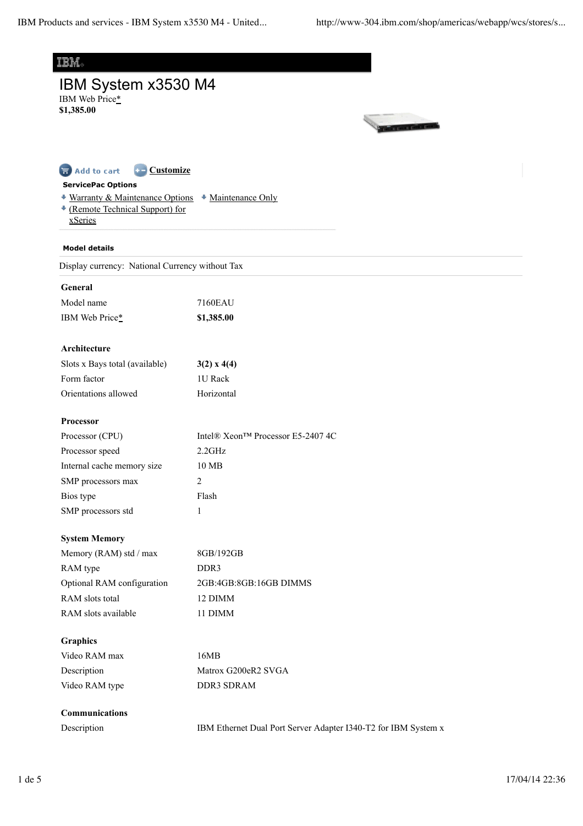| 頭頭                                                     |                                                                |
|--------------------------------------------------------|----------------------------------------------------------------|
| IBM System x3530 M4                                    |                                                                |
| IBM Web Price*                                         |                                                                |
| \$1,385.00                                             |                                                                |
|                                                        |                                                                |
|                                                        |                                                                |
| <b>Customize</b><br>Add to cart                        |                                                                |
| <b>ServicePac Options</b>                              |                                                                |
| + Warranty & Maintenance Options + Maintenance Only    |                                                                |
| <sup>+</sup> (Remote Technical Support) for<br>xSeries |                                                                |
|                                                        |                                                                |
| <b>Model details</b>                                   |                                                                |
| Display currency: National Currency without Tax        |                                                                |
| General                                                |                                                                |
| Model name                                             | 7160EAU                                                        |
| IBM Web Price*                                         | \$1,385.00                                                     |
| Architecture                                           |                                                                |
| Slots x Bays total (available)                         | $3(2)$ x 4(4)                                                  |
| Form factor                                            | 1U Rack                                                        |
| Orientations allowed                                   | Horizontal                                                     |
| Processor                                              |                                                                |
| Processor (CPU)                                        | Intel® Xeon™ Processor E5-2407 4C                              |
| Processor speed                                        | 2.2GHz                                                         |
| Internal cache memory size                             | 10 MB                                                          |
| SMP processors max                                     | 2                                                              |
| Bios type                                              | Flash                                                          |
| SMP processors std                                     | $\mathbf{1}$                                                   |
| <b>System Memory</b>                                   |                                                                |
| Memory (RAM) std / max                                 | 8GB/192GB                                                      |
| RAM type                                               | DDR3                                                           |
| Optional RAM configuration                             | 2GB:4GB:8GB:16GB DIMMS                                         |
| RAM slots total                                        | 12 DIMM                                                        |
| RAM slots available                                    | 11 DIMM                                                        |
| <b>Graphics</b>                                        |                                                                |
| Video RAM max                                          | 16MB                                                           |
| Description                                            | Matrox G200eR2 SVGA                                            |
| Video RAM type                                         | DDR3 SDRAM                                                     |
| Communications                                         |                                                                |
| Description                                            | IBM Ethernet Dual Port Server Adapter I340-T2 for IBM System x |
|                                                        |                                                                |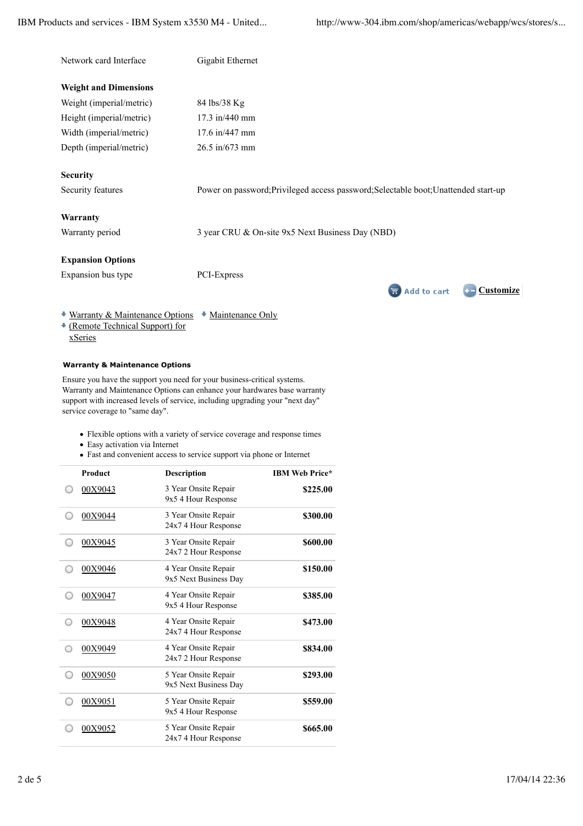| Network card Interface       | Gigabit Ethernet                                                                    |
|------------------------------|-------------------------------------------------------------------------------------|
| <b>Weight and Dimensions</b> |                                                                                     |
| Weight (imperial/metric)     | 84 lbs/38 Kg                                                                        |
| Height (imperial/metric)     | 17.3 in/440 mm                                                                      |
| Width (imperial/metric)      | 17.6 in/447 mm                                                                      |
| Depth (imperial/metric)      | $26.5 \text{ in} / 673 \text{ mm}$                                                  |
| <b>Security</b>              |                                                                                     |
| Security features            | Power on password; Privileged access password; Selectable boot; Unattended start-up |
| Warranty                     |                                                                                     |
| Warranty period              | 3 year CRU & On-site 9x5 Next Business Day (NBD)                                    |
| <b>Expansion Options</b>     |                                                                                     |
| Expansion bus type           | PCI-Express                                                                         |
|                              | Customize<br><b>Add to cart</b>                                                     |

**Warranty & Maintenance Options**

(Remote Technical Support) for

xSeries

Ensure you have the support you need for your business-critical systems. Warranty and Maintenance Options can enhance your hardwares base warranty support with increased levels of service, including upgrading your "next day" service coverage to "same day".

\* Warranty & Maintenance Options \* Maintenance Only

- Flexible options with a variety of service coverage and response times
- Easy activation via Internet
- Fast and convenient access to service support via phone or Internet

| <b>Product</b> | <b>Description</b>                            | <b>IBM Web Price*</b> |
|----------------|-----------------------------------------------|-----------------------|
| 00X9043        | 3 Year Onsite Repair<br>9x5 4 Hour Response   | \$225.00              |
| 00X9044        | 3 Year Onsite Repair<br>24x7 4 Hour Response  | \$300.00              |
| 00X9045        | 3 Year Onsite Repair<br>24x7 2 Hour Response  | \$600.00              |
| 00X9046        | 4 Year Onsite Repair<br>9x5 Next Business Day | \$150.00              |
| 00X9047        | 4 Year Onsite Repair<br>9x5 4 Hour Response   | \$385.00              |
| 00X9048        | 4 Year Onsite Repair<br>24x7 4 Hour Response  | \$473.00              |
| 00X9049        | 4 Year Onsite Repair<br>24x7 2 Hour Response  | \$834.00              |
| 00X9050        | 5 Year Onsite Repair<br>9x5 Next Business Day | \$293.00              |
| 00X9051        | 5 Year Onsite Repair<br>9x5 4 Hour Response   | \$559.00              |
| 00X9052        | 5 Year Onsite Repair<br>24x7 4 Hour Response  | \$665.00              |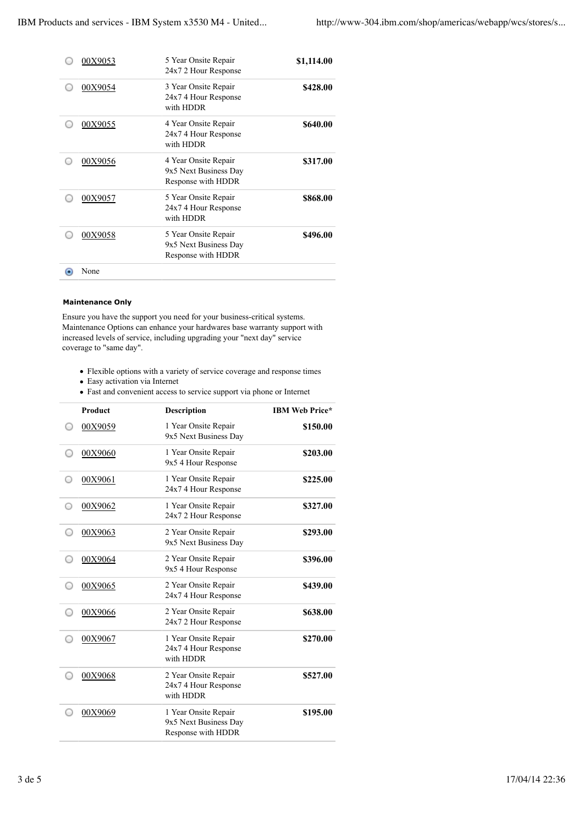| 00X9053 | 5 Year Onsite Repair<br>24x7 2 Hour Response                        | \$1,114.00 |
|---------|---------------------------------------------------------------------|------------|
| 00X9054 | 3 Year Onsite Repair<br>24x7 4 Hour Response<br>with HDDR           | \$428.00   |
| 00X9055 | 4 Year Onsite Repair<br>24x7 4 Hour Response<br>with HDDR           | \$640.00   |
| 00X9056 | 4 Year Onsite Repair<br>9x5 Next Business Day<br>Response with HDDR | \$317.00   |
| 00X9057 | 5 Year Onsite Repair<br>24x7 4 Hour Response<br>with HDDR           | \$868.00   |
| 00X9058 | 5 Year Onsite Repair<br>9x5 Next Business Day<br>Response with HDDR | \$496.00   |
| None    |                                                                     |            |

## **Maintenance Only**

Ensure you have the support you need for your business-critical systems. Maintenance Options can enhance your hardwares base warranty support with increased levels of service, including upgrading your "next day" service coverage to "same day".

- Flexible options with a variety of service coverage and response times
- Easy activation via Internet
- Fast and convenient access to service support via phone or Internet

| <b>Product</b> | <b>Description</b>                                                  | <b>IBM Web Price*</b> |
|----------------|---------------------------------------------------------------------|-----------------------|
| 00X9059        | 1 Year Onsite Repair<br>9x5 Next Business Day                       | \$150.00              |
| 00X9060        | 1 Year Onsite Repair<br>9x5 4 Hour Response                         | \$203.00              |
| 00X9061        | 1 Year Onsite Repair<br>24x7 4 Hour Response                        | \$225.00              |
| 00X9062        | 1 Year Onsite Repair<br>24x7 2 Hour Response                        | \$327.00              |
| 00X9063        | 2 Year Onsite Repair<br>9x5 Next Business Day                       | \$293.00              |
| 00X9064        | 2 Year Onsite Repair<br>9x5 4 Hour Response                         | \$396.00              |
| 00X9065        | 2 Year Onsite Repair<br>24x7 4 Hour Response                        | \$439.00              |
| 00X9066        | 2 Year Onsite Repair<br>24x7 2 Hour Response                        | \$638.00              |
| 00X9067        | 1 Year Onsite Repair<br>24x7 4 Hour Response<br>with HDDR           | \$270.00              |
| 00X9068        | 2 Year Onsite Repair<br>24x7 4 Hour Response<br>with HDDR           | \$527.00              |
| 00X9069        | 1 Year Onsite Repair<br>9x5 Next Business Day<br>Response with HDDR | \$195.00              |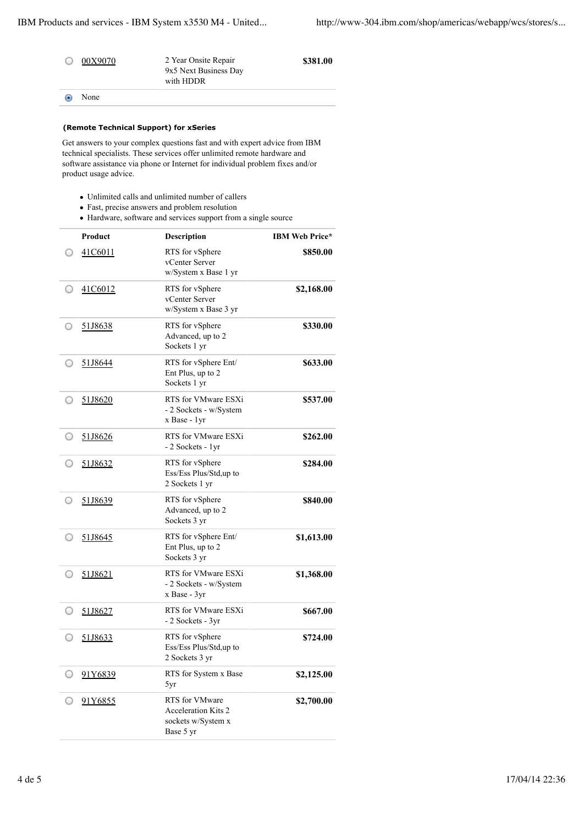|            | 00X9070 | 2 Year Onsite Repair<br>9x5 Next Business Day<br>with HDDR | \$381.00 |
|------------|---------|------------------------------------------------------------|----------|
| $_{\odot}$ | None    |                                                            |          |

## **(Remote Technical Support) for xSeries**

Get answers to your complex questions fast and with expert advice from IBM technical specialists. These services offer unlimited remote hardware and software assistance via phone or Internet for individual problem fixes and/or product usage advice.

- Unlimited calls and unlimited number of callers
- Fast, precise answers and problem resolution
- Hardware, software and services support from a single source

|   | <b>Product</b> | <b>Description</b>                                                              | <b>IBM Web Price*</b> |
|---|----------------|---------------------------------------------------------------------------------|-----------------------|
|   | 41C6011        | RTS for vSphere<br>vCenter Server<br>w/System x Base 1 yr                       | \$850.00              |
|   | 41C6012        | RTS for vSphere<br>vCenter Server<br>w/System x Base 3 yr                       | \$2,168.00            |
| O | 51J8638        | RTS for vSphere<br>Advanced, up to 2<br>Sockets 1 yr                            | \$330.00              |
|   | 51J8644        | RTS for vSphere Ent/<br>Ent Plus, up to 2<br>Sockets 1 yr                       | \$633.00              |
|   | 51J8620        | RTS for VMware ESXi<br>- 2 Sockets - w/System<br>x Base - 1yr                   | \$537.00              |
|   | 51J8626        | RTS for VMware ESXi<br>- 2 Sockets - 1yr                                        | \$262.00              |
|   | 51J8632        | RTS for vSphere<br>Ess/Ess Plus/Std,up to<br>2 Sockets 1 yr                     | \$284.00              |
|   | 51J8639        | RTS for vSphere<br>Advanced, up to 2<br>Sockets 3 yr                            | \$840.00              |
|   | 51J8645        | RTS for vSphere Ent/<br>Ent Plus, up to 2<br>Sockets 3 yr                       | \$1,613.00            |
|   | 51J8621        | RTS for VMware ESXi<br>- 2 Sockets - w/System<br>x Base - 3yr                   | \$1,368.00            |
|   | 51J8627        | RTS for VMware ESXi<br>- 2 Sockets - 3yr                                        | \$667.00              |
|   | 51J8633        | RTS for vSphere<br>Ess/Ess Plus/Std,up to<br>2 Sockets 3 yr                     | \$724.00              |
|   | 91Y6839        | RTS for System x Base<br>5yr                                                    | \$2,125.00            |
|   | 91Y6855        | RTS for VMware<br><b>Acceleration Kits 2</b><br>sockets w/System x<br>Base 5 yr | \$2,700.00            |